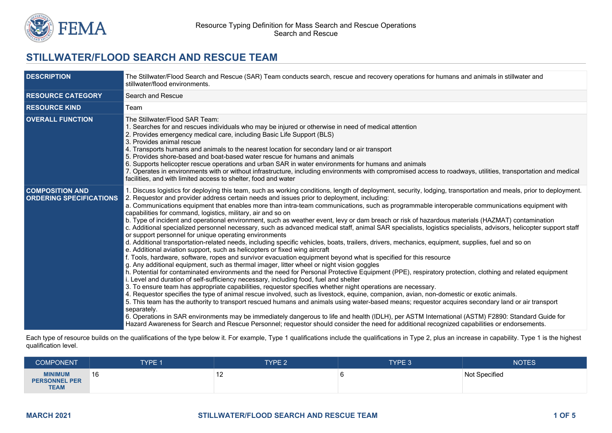

# **STILLWATER/FLOOD SEARCH AND RESCUE TEAM**

| <b>DESCRIPTION</b>                                       | The Stillwater/Flood Search and Rescue (SAR) Team conducts search, rescue and recovery operations for humans and animals in stillwater and<br>stillwater/flood environments.                                                                                                                                                                                                                                                                                                                                                                                                                                                                                                                                                                                                                                                                                                                                                                                                                                                                                                                                                                                                                                                                                                                                                                                                                                                                                                                                                                                                                                                                                                                                                                                                                                                                                                                                                                                                                                                                                                                                                                                                                                                                                                                                    |  |  |
|----------------------------------------------------------|-----------------------------------------------------------------------------------------------------------------------------------------------------------------------------------------------------------------------------------------------------------------------------------------------------------------------------------------------------------------------------------------------------------------------------------------------------------------------------------------------------------------------------------------------------------------------------------------------------------------------------------------------------------------------------------------------------------------------------------------------------------------------------------------------------------------------------------------------------------------------------------------------------------------------------------------------------------------------------------------------------------------------------------------------------------------------------------------------------------------------------------------------------------------------------------------------------------------------------------------------------------------------------------------------------------------------------------------------------------------------------------------------------------------------------------------------------------------------------------------------------------------------------------------------------------------------------------------------------------------------------------------------------------------------------------------------------------------------------------------------------------------------------------------------------------------------------------------------------------------------------------------------------------------------------------------------------------------------------------------------------------------------------------------------------------------------------------------------------------------------------------------------------------------------------------------------------------------------------------------------------------------------------------------------------------------|--|--|
| <b>RESOURCE CATEGORY</b>                                 | Search and Rescue                                                                                                                                                                                                                                                                                                                                                                                                                                                                                                                                                                                                                                                                                                                                                                                                                                                                                                                                                                                                                                                                                                                                                                                                                                                                                                                                                                                                                                                                                                                                                                                                                                                                                                                                                                                                                                                                                                                                                                                                                                                                                                                                                                                                                                                                                               |  |  |
| <b>RESOURCE KIND</b>                                     | Team                                                                                                                                                                                                                                                                                                                                                                                                                                                                                                                                                                                                                                                                                                                                                                                                                                                                                                                                                                                                                                                                                                                                                                                                                                                                                                                                                                                                                                                                                                                                                                                                                                                                                                                                                                                                                                                                                                                                                                                                                                                                                                                                                                                                                                                                                                            |  |  |
| <b>OVERALL FUNCTION</b>                                  | The Stillwater/Flood SAR Team:<br>1. Searches for and rescues individuals who may be injured or otherwise in need of medical attention<br>2. Provides emergency medical care, including Basic Life Support (BLS)<br>3. Provides animal rescue<br>4. Transports humans and animals to the nearest location for secondary land or air transport<br>5. Provides shore-based and boat-based water rescue for humans and animals<br>6. Supports helicopter rescue operations and urban SAR in water environments for humans and animals<br>7. Operates in environments with or without infrastructure, including environments with compromised access to roadways, utilities, transportation and medical<br>facilities, and with limited access to shelter, food and water                                                                                                                                                                                                                                                                                                                                                                                                                                                                                                                                                                                                                                                                                                                                                                                                                                                                                                                                                                                                                                                                                                                                                                                                                                                                                                                                                                                                                                                                                                                                           |  |  |
| <b>COMPOSITION AND</b><br><b>ORDERING SPECIFICATIONS</b> | 1. Discuss logistics for deploying this team, such as working conditions, length of deployment, security, lodging, transportation and meals, prior to deployment.<br>2. Requestor and provider address certain needs and issues prior to deployment, including:<br>a. Communications equipment that enables more than intra-team communications, such as programmable interoperable communications equipment with<br>capabilities for command, logistics, military, air and so on<br>b. Type of incident and operational environment, such as weather event, levy or dam breach or risk of hazardous materials (HAZMAT) contamination<br>c. Additional specialized personnel necessary, such as advanced medical staff, animal SAR specialists, logistics specialists, advisors, helicopter support staff<br>or support personnel for unique operating environments<br>d. Additional transportation-related needs, including specific vehicles, boats, trailers, drivers, mechanics, equipment, supplies, fuel and so on<br>e. Additional aviation support, such as helicopters or fixed wing aircraft<br>f. Tools, hardware, software, ropes and survivor evacuation equipment beyond what is specified for this resource<br>g. Any additional equipment, such as thermal imager, litter wheel or night vision goggles<br>h. Potential for contaminated environments and the need for Personal Protective Equipment (PPE), respiratory protection, clothing and related equipment<br>i. Level and duration of self-sufficiency necessary, including food, fuel and shelter<br>3. To ensure team has appropriate capabilities, requestor specifies whether night operations are necessary.<br>4. Requestor specifies the type of animal rescue involved, such as livestock, equine, companion, avian, non-domestic or exotic animals.<br>5. This team has the authority to transport rescued humans and animals using water-based means; requestor acquires secondary land or air transport<br>separately.<br>6. Operations in SAR environments may be immediately dangerous to life and health (IDLH), per ASTM International (ASTM) F2890: Standard Guide for<br>Hazard Awareness for Search and Rescue Personnel; requestor should consider the need for additional recognized capabilities or endorsements. |  |  |

Each type of resource builds on the qualifications of the type below it. For example, Type 1 qualifications include the qualifications in Type 2, plus an increase in capability. Type 1 is the highest qualification level.

| <b>COMPONENT</b>                                      | TYPE 1 | TYPE <sub>2</sub> | <b>TYPE 3</b> | <b>NOTES</b>  |
|-------------------------------------------------------|--------|-------------------|---------------|---------------|
| <b>MINIMUM</b><br><b>PERSONNEL PER</b><br><b>TEAM</b> | 16     | - -<br>$\sim$     |               | Not Specified |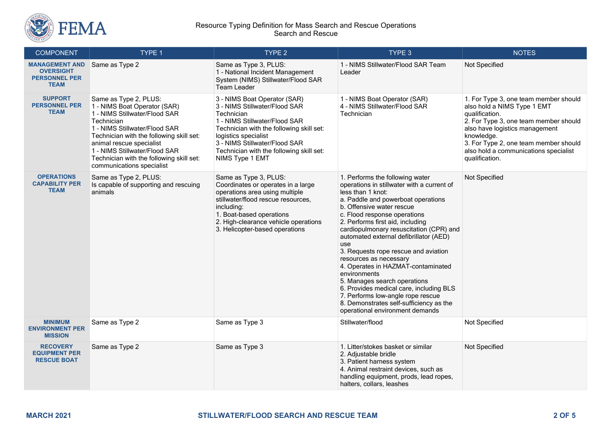

| <b>COMPONENT</b>                                                                 | TYPE 1                                                                                                                                                                                                                                                                                                                  | TYPE <sub>2</sub>                                                                                                                                                                                                                                                                | TYPE 3                                                                                                                                                                                                                                                                                                                                                                                                                                                                                                                                                                                                                                                             | <b>NOTES</b>                                                                                                                                                                                                                                                                        |
|----------------------------------------------------------------------------------|-------------------------------------------------------------------------------------------------------------------------------------------------------------------------------------------------------------------------------------------------------------------------------------------------------------------------|----------------------------------------------------------------------------------------------------------------------------------------------------------------------------------------------------------------------------------------------------------------------------------|--------------------------------------------------------------------------------------------------------------------------------------------------------------------------------------------------------------------------------------------------------------------------------------------------------------------------------------------------------------------------------------------------------------------------------------------------------------------------------------------------------------------------------------------------------------------------------------------------------------------------------------------------------------------|-------------------------------------------------------------------------------------------------------------------------------------------------------------------------------------------------------------------------------------------------------------------------------------|
| <b>MANAGEMENT AND</b><br><b>OVERSIGHT</b><br><b>PERSONNEL PER</b><br><b>TEAM</b> | Same as Type 2                                                                                                                                                                                                                                                                                                          | Same as Type 3, PLUS:<br>1 - National Incident Management<br>System (NIMS) Stillwater/Flood SAR<br>Team Leader                                                                                                                                                                   | 1 - NIMS Stillwater/Flood SAR Team<br>Leader                                                                                                                                                                                                                                                                                                                                                                                                                                                                                                                                                                                                                       | Not Specified                                                                                                                                                                                                                                                                       |
| <b>SUPPORT</b><br><b>PERSONNEL PER</b><br><b>TEAM</b>                            | Same as Type 2, PLUS:<br>1 - NIMS Boat Operator (SAR)<br>1 - NIMS Stillwater/Flood SAR<br>Technician<br>1 - NIMS Stillwater/Flood SAR<br>Technician with the following skill set:<br>animal rescue specialist<br>1 - NIMS Stillwater/Flood SAR<br>Technician with the following skill set:<br>communications specialist | 3 - NIMS Boat Operator (SAR)<br>3 - NIMS Stillwater/Flood SAR<br>Technician<br>1 - NIMS Stillwater/Flood SAR<br>Technician with the following skill set:<br>logistics specialist<br>3 - NIMS Stillwater/Flood SAR<br>Technician with the following skill set:<br>NIMS Type 1 EMT | 1 - NIMS Boat Operator (SAR)<br>4 - NIMS Stillwater/Flood SAR<br>Technician                                                                                                                                                                                                                                                                                                                                                                                                                                                                                                                                                                                        | 1. For Type 3, one team member should<br>also hold a NIMS Type 1 EMT<br>qualification.<br>2. For Type 3, one team member should<br>also have logistics management<br>knowledge.<br>3. For Type 2, one team member should<br>also hold a communications specialist<br>qualification. |
| <b>OPERATIONS</b><br><b>CAPABILITY PER</b><br><b>TEAM</b>                        | Same as Type 2, PLUS:<br>Is capable of supporting and rescuing<br>animals                                                                                                                                                                                                                                               | Same as Type 3, PLUS:<br>Coordinates or operates in a large<br>operations area using multiple<br>stillwater/flood rescue resources,<br>including:<br>1. Boat-based operations<br>2. High-clearance vehicle operations<br>3. Helicopter-based operations                          | 1. Performs the following water<br>operations in stillwater with a current of<br>less than 1 knot:<br>a. Paddle and powerboat operations<br>b. Offensive water rescue<br>c. Flood response operations<br>2. Performs first aid, including<br>cardiopulmonary resuscitation (CPR) and<br>automated external defibrillator (AED)<br><b>use</b><br>3. Requests rope rescue and aviation<br>resources as necessary<br>4. Operates in HAZMAT-contaminated<br>environments<br>5. Manages search operations<br>6. Provides medical care, including BLS<br>7. Performs low-angle rope rescue<br>8. Demonstrates self-sufficiency as the<br>operational environment demands | Not Specified                                                                                                                                                                                                                                                                       |
| <b>MINIMUM</b><br><b>ENVIRONMENT PER</b><br><b>MISSION</b>                       | Same as Type 2                                                                                                                                                                                                                                                                                                          | Same as Type 3                                                                                                                                                                                                                                                                   | Stillwater/flood                                                                                                                                                                                                                                                                                                                                                                                                                                                                                                                                                                                                                                                   | Not Specified                                                                                                                                                                                                                                                                       |
| <b>RECOVERY</b><br><b>EQUIPMENT PER</b><br><b>RESCUE BOAT</b>                    | Same as Type 2                                                                                                                                                                                                                                                                                                          | Same as Type 3                                                                                                                                                                                                                                                                   | 1. Litter/stokes basket or similar<br>2. Adjustable bridle<br>3. Patient harness system<br>4. Animal restraint devices, such as<br>handling equipment, prods, lead ropes,<br>halters, collars, leashes                                                                                                                                                                                                                                                                                                                                                                                                                                                             | Not Specified                                                                                                                                                                                                                                                                       |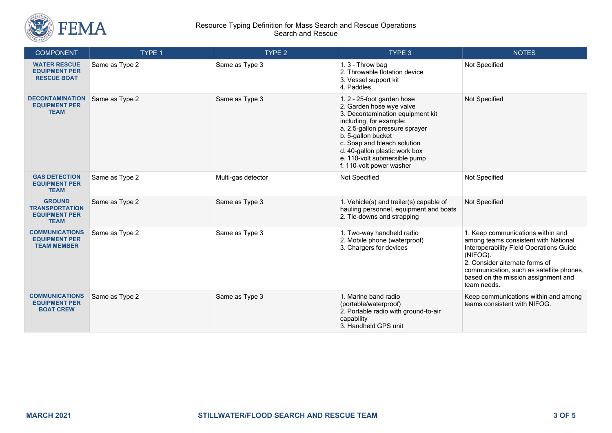

#### Resource Typing Definition for Mass Search and Rescue Operations Search and Rescue

| <b>COMPONENT</b>                                                              | TYPE 1         | TYPE <sub>2</sub>  | TYPE 3                                                                                                                                                                                                                                                                                                   | <b>NOTES</b>                                                                                                                                                                                                                                                         |
|-------------------------------------------------------------------------------|----------------|--------------------|----------------------------------------------------------------------------------------------------------------------------------------------------------------------------------------------------------------------------------------------------------------------------------------------------------|----------------------------------------------------------------------------------------------------------------------------------------------------------------------------------------------------------------------------------------------------------------------|
| <b>WATER RESCUE</b><br><b>EQUIPMENT PER</b><br><b>RESCUE BOAT</b>             | Same as Type 2 | Same as Type 3     | 1.3 - Throw bag<br>2. Throwable flotation device<br>3. Vessel support kit<br>4. Paddles                                                                                                                                                                                                                  | Not Specified                                                                                                                                                                                                                                                        |
| <b>DECONTAMINATION</b><br><b>EQUIPMENT PER</b><br><b>TEAM</b>                 | Same as Type 2 | Same as Type 3     | 1.2 - 25-foot garden hose<br>2. Garden hose wye valve<br>3. Decontamination equipment kit<br>including, for example:<br>a. 2.5-gallon pressure sprayer<br>b. 5-gallon bucket<br>c. Soap and bleach solution<br>d. 40-gallon plastic work box<br>e. 110-volt submersible pump<br>f. 110-volt power washer | Not Specified                                                                                                                                                                                                                                                        |
| <b>GAS DETECTION</b><br><b>EQUIPMENT PER</b><br><b>TEAM</b>                   | Same as Type 2 | Multi-gas detector | Not Specified                                                                                                                                                                                                                                                                                            | Not Specified                                                                                                                                                                                                                                                        |
| <b>GROUND</b><br><b>TRANSPORTATION</b><br><b>EQUIPMENT PER</b><br><b>TEAM</b> | Same as Type 2 | Same as Type 3     | 1. Vehicle(s) and trailer(s) capable of<br>hauling personnel, equipment and boats<br>2. Tie-downs and strapping                                                                                                                                                                                          | Not Specified                                                                                                                                                                                                                                                        |
| <b>COMMUNICATIONS</b><br><b>EQUIPMENT PER</b><br><b>TEAM MEMBER</b>           | Same as Type 2 | Same as Type 3     | 1. Two-way handheld radio<br>2. Mobile phone (waterproof)<br>3. Chargers for devices                                                                                                                                                                                                                     | 1. Keep communications within and<br>among teams consistent with National<br>Interoperability Field Operations Guide<br>(NIFOG).<br>2. Consider alternate forms of<br>communication, such as satellite phones,<br>based on the mission assignment and<br>team needs. |
| <b>COMMUNICATIONS</b><br><b>EQUIPMENT PER</b><br><b>BOAT CREW</b>             | Same as Type 2 | Same as Type 3     | 1. Marine band radio<br>(portable/waterproof)<br>2. Portable radio with ground-to-air<br>capability<br>3. Handheld GPS unit                                                                                                                                                                              | Keep communications within and among<br>teams consistent with NIFOG.                                                                                                                                                                                                 |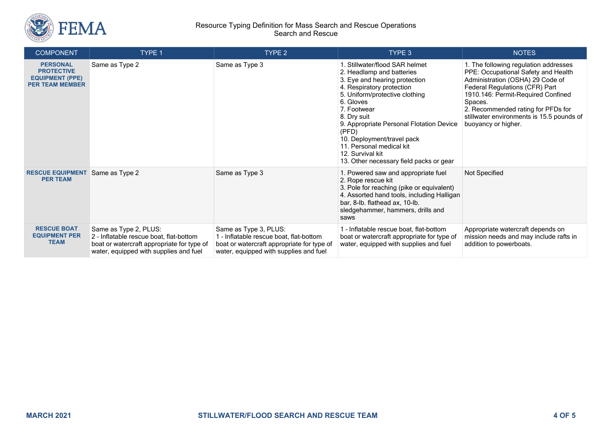

#### Resource Typing Definition for Mass Search and Rescue Operations Search and Rescue

| <b>COMPONENT</b>                                                                         | TYPE 1                                                                                                                                                   | TYPE <sub>2</sub>                                                                                                                                        | TYPE 3                                                                                                                                                                                                                                                                                                                                                                              | <b>NOTES</b>                                                                                                                                                                                                                                                                                                  |
|------------------------------------------------------------------------------------------|----------------------------------------------------------------------------------------------------------------------------------------------------------|----------------------------------------------------------------------------------------------------------------------------------------------------------|-------------------------------------------------------------------------------------------------------------------------------------------------------------------------------------------------------------------------------------------------------------------------------------------------------------------------------------------------------------------------------------|---------------------------------------------------------------------------------------------------------------------------------------------------------------------------------------------------------------------------------------------------------------------------------------------------------------|
| <b>PERSONAL</b><br><b>PROTECTIVE</b><br><b>EQUIPMENT (PPE)</b><br><b>PER TEAM MEMBER</b> | Same as Type 2                                                                                                                                           | Same as Type 3                                                                                                                                           | . Stillwater/flood SAR helmet<br>2. Headlamp and batteries<br>3. Eye and hearing protection<br>4. Respiratory protection<br>5. Uniform/protective clothing<br>6. Gloves<br>7. Footwear<br>8. Dry suit<br>9. Appropriate Personal Flotation Device<br>(PFD)<br>10. Deployment/travel pack<br>11. Personal medical kit<br>12. Survival kit<br>13. Other necessary field packs or gear | 1. The following regulation addresses<br>PPE: Occupational Safety and Health<br>Administration (OSHA) 29 Code of<br>Federal Regulations (CFR) Part<br>1910.146: Permit-Required Confined<br>Spaces.<br>2. Recommended rating for PFDs for<br>stillwater environments is 15.5 pounds of<br>buoyancy or higher. |
| <b>RESCUE EQUIPMENT</b><br><b>PER TEAM</b>                                               | Same as Type 2                                                                                                                                           | Same as Type 3                                                                                                                                           | 1. Powered saw and appropriate fuel<br>2. Rope rescue kit<br>3. Pole for reaching (pike or equivalent)<br>4. Assorted hand tools, including Halligan<br>bar, 8-lb. flathead ax, 10-lb.<br>sledgehammer, hammers, drills and<br>saws                                                                                                                                                 | Not Specified                                                                                                                                                                                                                                                                                                 |
| <b>RESCUE BOAT</b><br><b>EQUIPMENT PER</b><br><b>TEAM</b>                                | Same as Type 2, PLUS:<br>2 - Inflatable rescue boat, flat-bottom<br>boat or watercraft appropriate for type of<br>water, equipped with supplies and fuel | Same as Type 3, PLUS:<br>1 - Inflatable rescue boat, flat-bottom<br>boat or watercraft appropriate for type of<br>water, equipped with supplies and fuel | 1 - Inflatable rescue boat, flat-bottom<br>boat or watercraft appropriate for type of<br>water, equipped with supplies and fuel                                                                                                                                                                                                                                                     | Appropriate watercraft depends on<br>mission needs and may include rafts in<br>addition to powerboats.                                                                                                                                                                                                        |